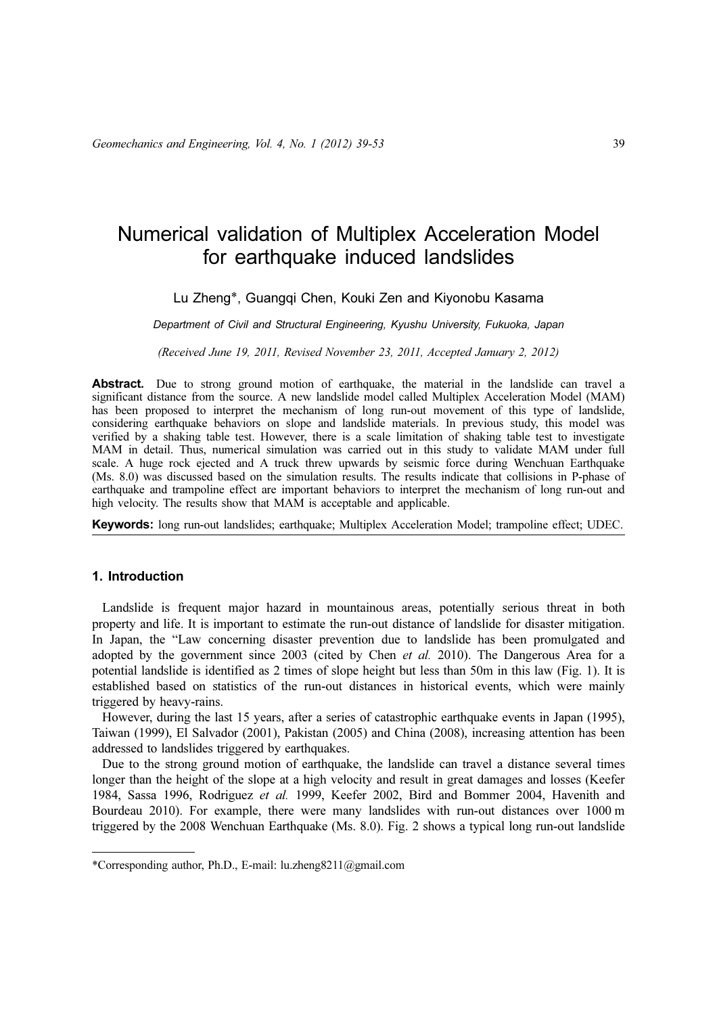# Numerical validation of Multiplex Acceleration Model for earthquake induced landslides

# Lu Zheng\*, Guangqi Chen, Kouki Zen and Kiyonobu Kasama

Department of Civil and Structural Engineering, Kyushu University, Fukuoka, Japan

(Received June 19, 2011, Revised November 23, 2011, Accepted January 2, 2012)

Abstract. Due to strong ground motion of earthquake, the material in the landslide can travel a significant distance from the source. A new landslide model called Multiplex Acceleration Model (MAM) has been proposed to interpret the mechanism of long run-out movement of this type of landslide, considering earthquake behaviors on slope and landslide materials. In previous study, this model was verified by a shaking table test. However, there is a scale limitation of shaking table test to investigate MAM in detail. Thus, numerical simulation was carried out in this study to validate MAM under full scale. A huge rock ejected and A truck threw upwards by seismic force during Wenchuan Earthquake (Ms. 8.0) was discussed based on the simulation results. The results indicate that collisions in P-phase of earthquake and trampoline effect are important behaviors to interpret the mechanism of long run-out and high velocity. The results show that MAM is acceptable and applicable.

Keywords: long run-out landslides; earthquake; Multiplex Acceleration Model; trampoline effect; UDEC.

# 1. Introduction

Landslide is frequent major hazard in mountainous areas, potentially serious threat in both property and life. It is important to estimate the run-out distance of landslide for disaster mitigation. In Japan, the "Law concerning disaster prevention due to landslide has been promulgated and adopted by the government since 2003 (cited by Chen et al. 2010). The Dangerous Area for a potential landslide is identified as 2 times of slope height but less than 50m in this law (Fig. 1). It is established based on statistics of the run-out distances in historical events, which were mainly triggered by heavy-rains.

However, during the last 15 years, after a series of catastrophic earthquake events in Japan (1995), Taiwan (1999), El Salvador (2001), Pakistan (2005) and China (2008), increasing attention has been addressed to landslides triggered by earthquakes.

Due to the strong ground motion of earthquake, the landslide can travel a distance several times longer than the height of the slope at a high velocity and result in great damages and losses (Keefer 1984, Sassa 1996, Rodriguez et al. 1999, Keefer 2002, Bird and Bommer 2004, Havenith and Bourdeau 2010). For example, there were many landslides with run-out distances over 1000 m triggered by the 2008 Wenchuan Earthquake (Ms. 8.0). Fig. 2 shows a typical long run-out landslide

<sup>\*</sup>Corresponding author, Ph.D., E-mail: lu.zheng8211@gmail.com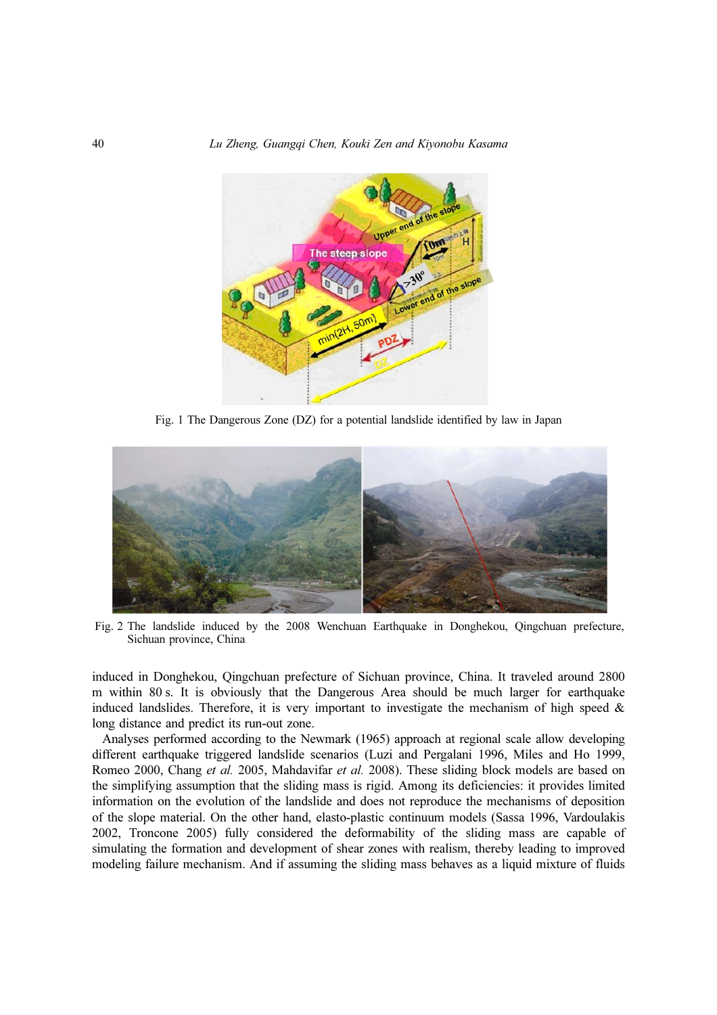

Fig. 1 The Dangerous Zone (DZ) for a potential landslide identified by law in Japan



Fig. 2 The landslide induced by the 2008 Wenchuan Earthquake in Donghekou, Qingchuan prefecture, Sichuan province, China

induced in Donghekou, Qingchuan prefecture of Sichuan province, China. It traveled around 2800 m within 80 s. It is obviously that the Dangerous Area should be much larger for earthquake induced landslides. Therefore, it is very important to investigate the mechanism of high speed  $\&$ long distance and predict its run-out zone.

Analyses performed according to the Newmark (1965) approach at regional scale allow developing different earthquake triggered landslide scenarios (Luzi and Pergalani 1996, Miles and Ho 1999, Romeo 2000, Chang et al. 2005, Mahdavifar et al. 2008). These sliding block models are based on the simplifying assumption that the sliding mass is rigid. Among its deficiencies: it provides limited information on the evolution of the landslide and does not reproduce the mechanisms of deposition of the slope material. On the other hand, elasto-plastic continuum models (Sassa 1996, Vardoulakis 2002, Troncone 2005) fully considered the deformability of the sliding mass are capable of simulating the formation and development of shear zones with realism, thereby leading to improved modeling failure mechanism. And if assuming the sliding mass behaves as a liquid mixture of fluids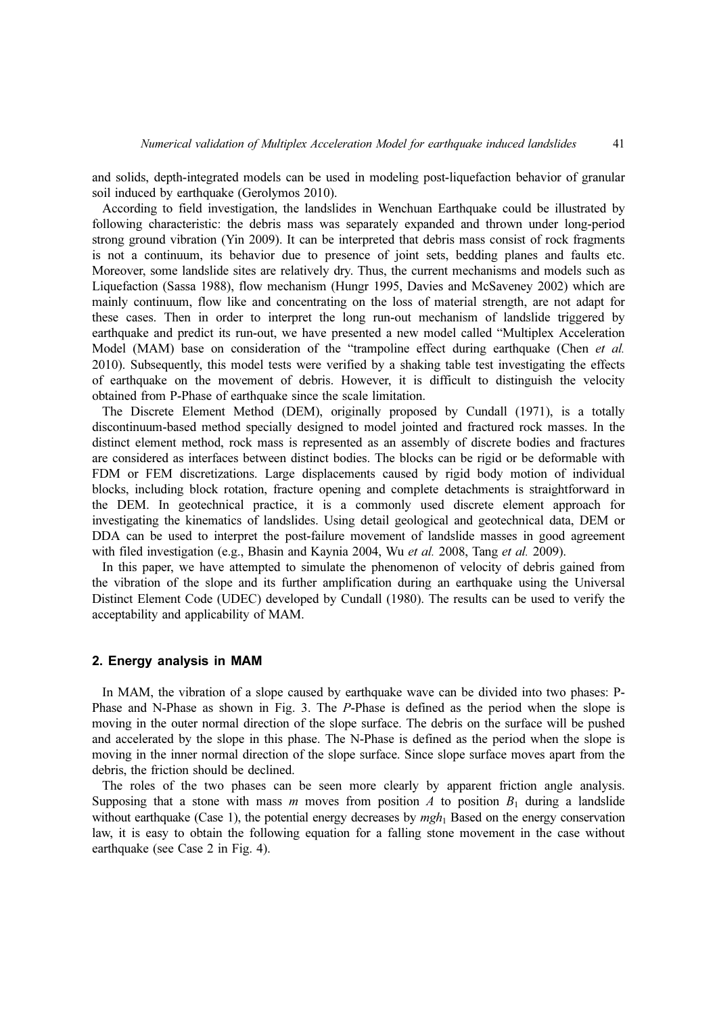and solids, depth-integrated models can be used in modeling post-liquefaction behavior of granular soil induced by earthquake (Gerolymos 2010).

According to field investigation, the landslides in Wenchuan Earthquake could be illustrated by following characteristic: the debris mass was separately expanded and thrown under long-period strong ground vibration (Yin 2009). It can be interpreted that debris mass consist of rock fragments is not a continuum, its behavior due to presence of joint sets, bedding planes and faults etc. Moreover, some landslide sites are relatively dry. Thus, the current mechanisms and models such as Liquefaction (Sassa 1988), flow mechanism (Hungr 1995, Davies and McSaveney 2002) which are mainly continuum, flow like and concentrating on the loss of material strength, are not adapt for these cases. Then in order to interpret the long run-out mechanism of landslide triggered by earthquake and predict its run-out, we have presented a new model called "Multiplex Acceleration Model (MAM) base on consideration of the "trampoline effect during earthquake (Chen et al. 2010). Subsequently, this model tests were verified by a shaking table test investigating the effects of earthquake on the movement of debris. However, it is difficult to distinguish the velocity obtained from P-Phase of earthquake since the scale limitation.

The Discrete Element Method (DEM), originally proposed by Cundall (1971), is a totally discontinuum-based method specially designed to model jointed and fractured rock masses. In the distinct element method, rock mass is represented as an assembly of discrete bodies and fractures are considered as interfaces between distinct bodies. The blocks can be rigid or be deformable with FDM or FEM discretizations. Large displacements caused by rigid body motion of individual blocks, including block rotation, fracture opening and complete detachments is straightforward in the DEM. In geotechnical practice, it is a commonly used discrete element approach for investigating the kinematics of landslides. Using detail geological and geotechnical data, DEM or DDA can be used to interpret the post-failure movement of landslide masses in good agreement with filed investigation (e.g., Bhasin and Kaynia 2004, Wu et al. 2008, Tang et al. 2009).

In this paper, we have attempted to simulate the phenomenon of velocity of debris gained from the vibration of the slope and its further amplification during an earthquake using the Universal Distinct Element Code (UDEC) developed by Cundall (1980). The results can be used to verify the acceptability and applicability of MAM.

#### 2. Energy analysis in MAM

In MAM, the vibration of a slope caused by earthquake wave can be divided into two phases: P-Phase and N-Phase as shown in Fig. 3. The P-Phase is defined as the period when the slope is moving in the outer normal direction of the slope surface. The debris on the surface will be pushed and accelerated by the slope in this phase. The N-Phase is defined as the period when the slope is moving in the inner normal direction of the slope surface. Since slope surface moves apart from the debris, the friction should be declined.

The roles of the two phases can be seen more clearly by apparent friction angle analysis. Supposing that a stone with mass m moves from position A to position  $B_1$  during a landslide without earthquake (Case 1), the potential energy decreases by  $mgh_1$  Based on the energy conservation law, it is easy to obtain the following equation for a falling stone movement in the case without earthquake (see Case 2 in Fig. 4).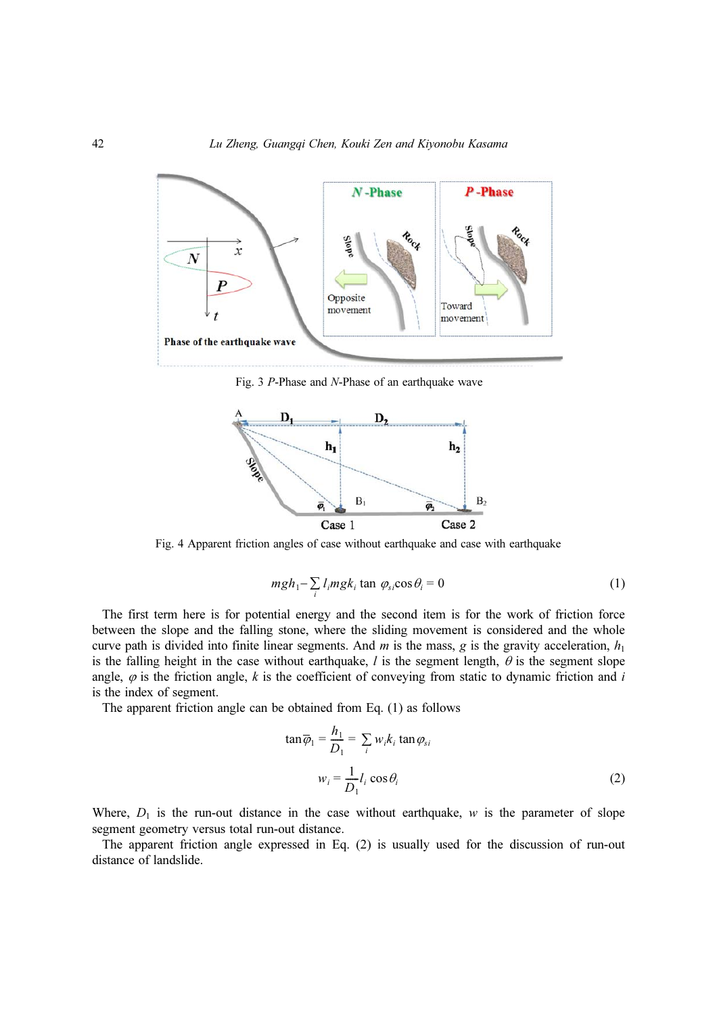

Fig. 3 P-Phase and N-Phase of an earthquake wave



Fig. 4 Apparent friction angles of case without earthquake and case with earthquake

$$
mgh_1 - \sum_i l_i mgk_i \tan \varphi_{si} \cos \theta_i = 0 \tag{1}
$$

The first term here is for potential energy and the second item is for the work of friction force between the slope and the falling stone, where the sliding movement is considered and the whole curve path is divided into finite linear segments. And m is the mass, g is the gravity acceleration,  $h_1$ is the falling height in the case without earthquake,  $l$  is the segment length,  $\theta$  is the segment slope angle,  $\varphi$  is the friction angle, k is the coefficient of conveying from static to dynamic friction and i is the index of segment.

The apparent friction angle can be obtained from Eq. (1) as follows

$$
\tan \overline{\varphi}_1 = \frac{h_1}{D_1} = \sum_i w_i k_i \tan \varphi_{si}
$$

$$
w_i = \frac{1}{D_1} l_i \cos \theta_i
$$
(2)

Where,  $D_1$  is the run-out distance in the case without earthquake, w is the parameter of slope segment geometry versus total run-out distance.

The apparent friction angle expressed in Eq. (2) is usually used for the discussion of run-out distance of landslide.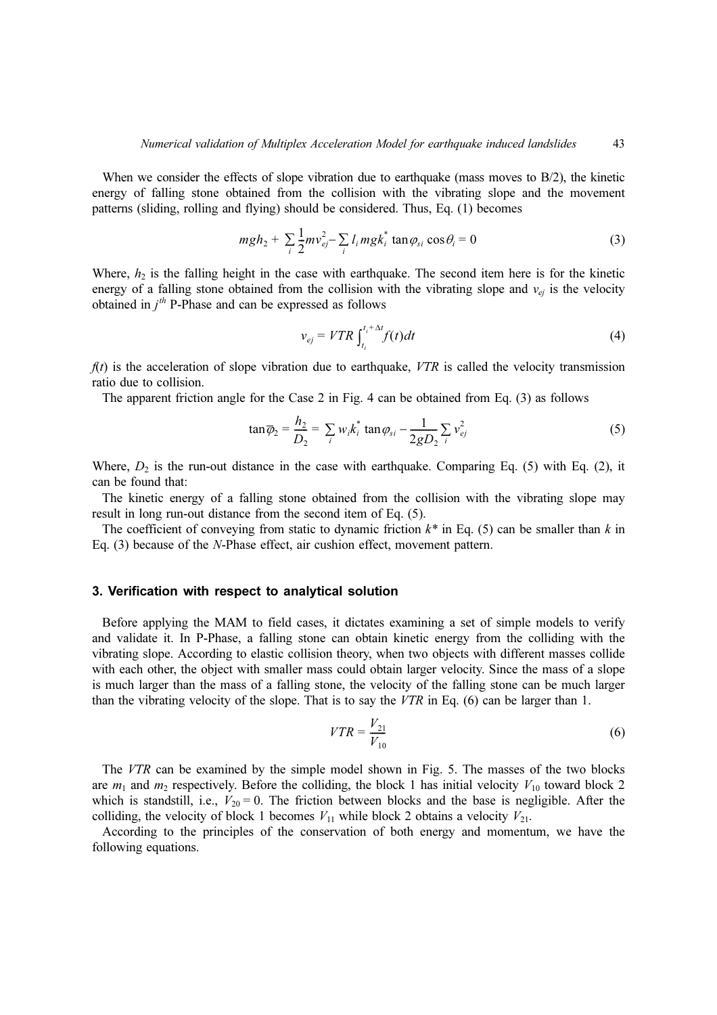When we consider the effects of slope vibration due to earthquake (mass moves to B/2), the kinetic energy of falling stone obtained from the collision with the vibrating slope and the movement patterns (sliding, rolling and flying) should be considered. Thus, Eq. (1) becomes

$$
mgh_2 + \sum_i \frac{1}{2} m v_{ej}^2 - \sum_i l_i m g k_i^* \tan \varphi_{si} \cos \theta_i = 0
$$
 (3)

Where,  $h_2$  is the falling height in the case with earthquake. The second item here is for the kinetic energy of a falling stone obtained from the collision with the vibrating slope and  $v_{ei}$  is the velocity obtained in  $j<sup>th</sup>$  P-Phase and can be expressed as follows

$$
v_{ej} = VTR \int_{t_i}^{t_i + \Delta t} f(t)dt
$$
 (4)

 $f(t)$  is the acceleration of slope vibration due to earthquake, VTR is called the velocity transmission ratio due to collision.

The apparent friction angle for the Case 2 in Fig. 4 can be obtained from Eq. (3) as follows

$$
\tan \overline{\varphi}_2 = \frac{h_2}{D_2} = \sum_i w_i k_i^* \tan \varphi_{si} - \frac{1}{2gD_2} \sum_i v_{ej}^2
$$
 (5)

Where,  $D_2$  is the run-out distance in the case with earthquake. Comparing Eq. (5) with Eq. (2), it can be found that:

The kinetic energy of a falling stone obtained from the collision with the vibrating slope may result in long run-out distance from the second item of Eq. (5).

The coefficient of conveying from static to dynamic friction  $k^*$  in Eq. (5) can be smaller than k in Eq. (3) because of the N-Phase effect, air cushion effect, movement pattern.

## 3. Verification with respect to analytical solution

Before applying the MAM to field cases, it dictates examining a set of simple models to verify and validate it. In P-Phase, a falling stone can obtain kinetic energy from the colliding with the vibrating slope. According to elastic collision theory, when two objects with different masses collide with each other, the object with smaller mass could obtain larger velocity. Since the mass of a slope is much larger than the mass of a falling stone, the velocity of the falling stone can be much larger than the vibrating velocity of the slope. That is to say the  $VTR$  in Eq. (6) can be larger than 1.

$$
VTR = \frac{V_{21}}{V_{10}}\tag{6}
$$

The VTR can be examined by the simple model shown in Fig. 5. The masses of the two blocks are  $m_1$  and  $m_2$  respectively. Before the colliding, the block 1 has initial velocity  $V_{10}$  toward block 2 which is standstill, i.e.,  $V_{20} = 0$ . The friction between blocks and the base is negligible. After the colliding, the velocity of block 1 becomes  $V_{11}$  while block 2 obtains a velocity  $V_{21}$ .

According to the principles of the conservation of both energy and momentum, we have the following equations.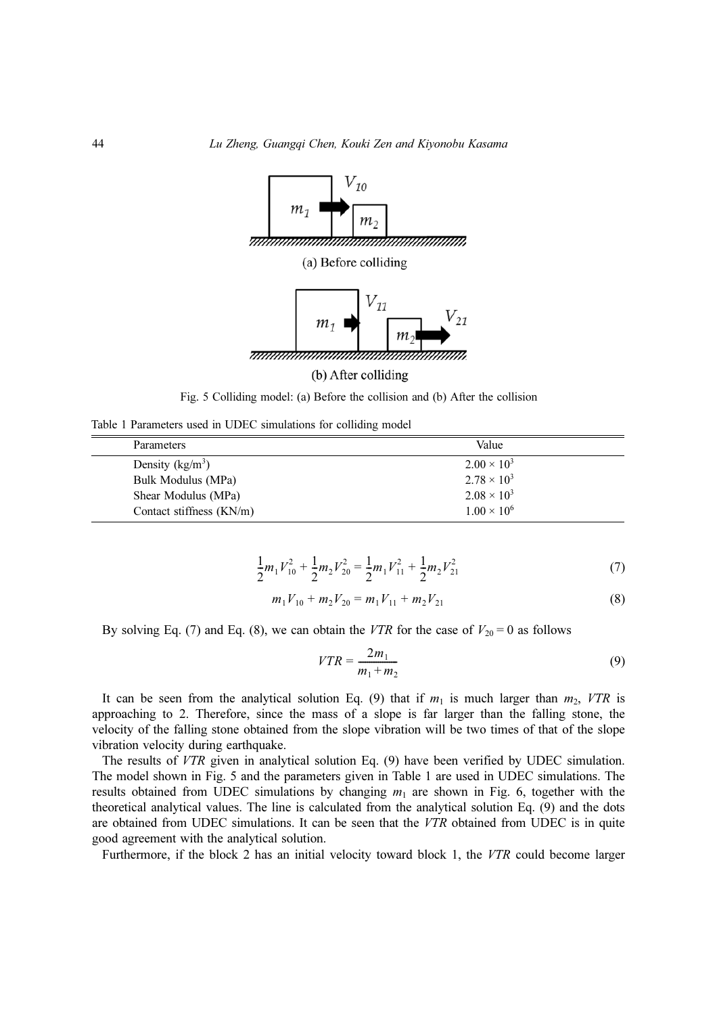

Fig. 5 Colliding model: (a) Before the collision and (b) After the collision

Table 1 Parameters used in UDEC simulations for colliding model

| <b>Parameters</b>        | Value                |
|--------------------------|----------------------|
| Density $(kg/m^3)$       | $2.00 \times 10^{3}$ |
| Bulk Modulus (MPa)       | $2.78 \times 10^{3}$ |
| Shear Modulus (MPa)      | $2.08 \times 10^{3}$ |
| Contact stiffness (KN/m) | $1.00 \times 10^6$   |

$$
\frac{1}{2}m_1V_{10}^2 + \frac{1}{2}m_2V_{20}^2 = \frac{1}{2}m_1V_{11}^2 + \frac{1}{2}m_2V_{21}^2
$$
 (7)

$$
m_1 V_{10} + m_2 V_{20} = m_1 V_{11} + m_2 V_{21}
$$
 (8)

By solving Eq. (7) and Eq. (8), we can obtain the VTR for the case of  $V_{20} = 0$  as follows

$$
VTR = \frac{2m_1}{m_1 + m_2} \tag{9}
$$

It can be seen from the analytical solution Eq. (9) that if  $m_1$  is much larger than  $m_2$ , VTR is approaching to 2. Therefore, since the mass of a slope is far larger than the falling stone, the velocity of the falling stone obtained from the slope vibration will be two times of that of the slope vibration velocity during earthquake.

The results of VTR given in analytical solution Eq. (9) have been verified by UDEC simulation. The model shown in Fig. 5 and the parameters given in Table 1 are used in UDEC simulations. The results obtained from UDEC simulations by changing  $m_1$  are shown in Fig. 6, together with the theoretical analytical values. The line is calculated from the analytical solution Eq. (9) and the dots are obtained from UDEC simulations. It can be seen that the VTR obtained from UDEC is in quite good agreement with the analytical solution.

Furthermore, if the block 2 has an initial velocity toward block 1, the VTR could become larger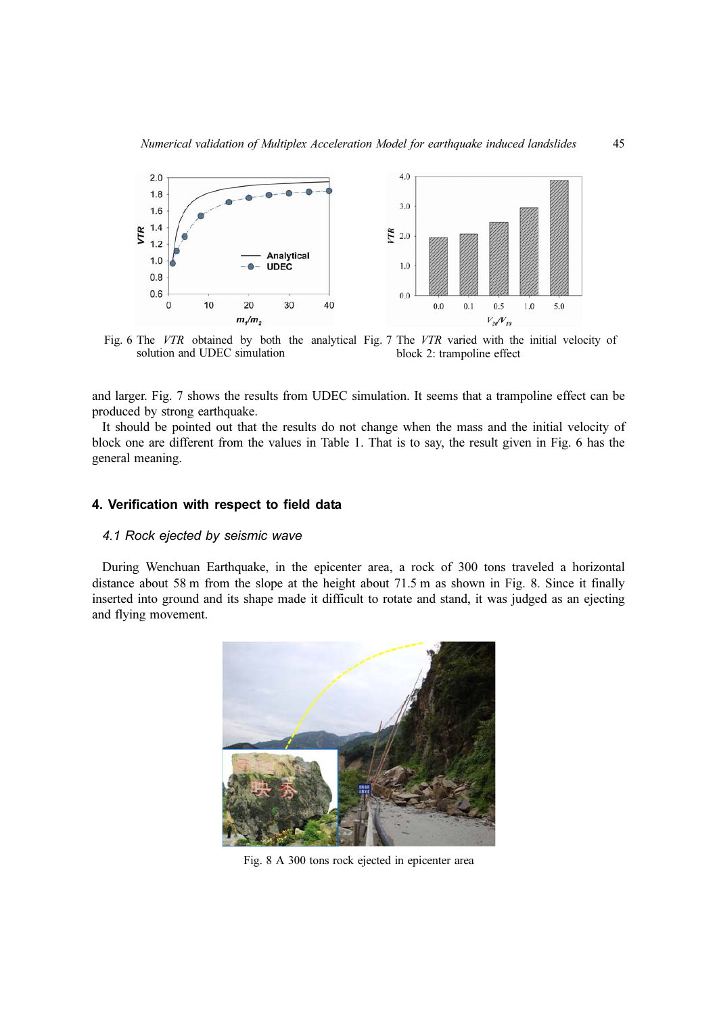

Fig. 6 The VTR obtained by both the analytical Fig. 7 The VTR varied with the initial velocity of solution and UDEC simulation block 2: trampoline effect

and larger. Fig. 7 shows the results from UDEC simulation. It seems that a trampoline effect can be produced by strong earthquake.

It should be pointed out that the results do not change when the mass and the initial velocity of block one are different from the values in Table 1. That is to say, the result given in Fig. 6 has the general meaning.

## 4. Verification with respect to field data

# 4.1 Rock ejected by seismic wave

During Wenchuan Earthquake, in the epicenter area, a rock of 300 tons traveled a horizontal distance about 58 m from the slope at the height about 71.5 m as shown in Fig. 8. Since it finally inserted into ground and its shape made it difficult to rotate and stand, it was judged as an ejecting and flying movement.



Fig. 8 A 300 tons rock ejected in epicenter area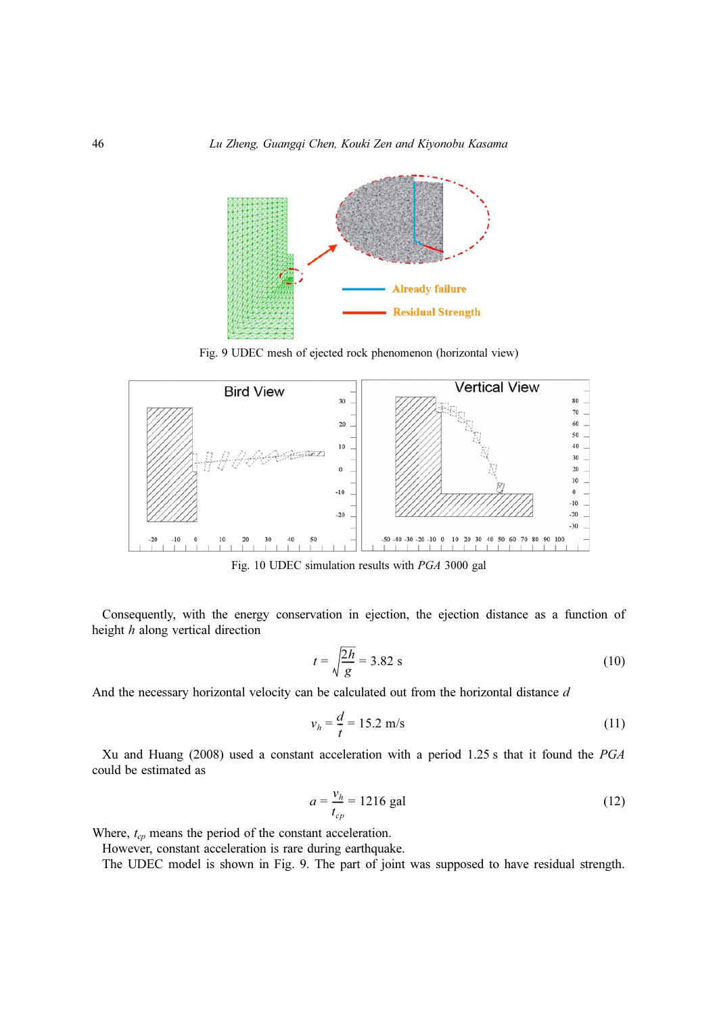

Fig. 9 UDEC mesh of ejected rock phenomenon (horizontal view)



Fig. 10 UDEC simulation results with PGA 3000 gal

Consequently, with the energy conservation in ejection, the ejection distance as a function of height h along vertical direction

$$
t = \sqrt{\frac{2h}{g}} = 3.82 \text{ s}
$$
 (10)

And the necessary horizontal velocity can be calculated out from the horizontal distance d

$$
v_h = \frac{d}{t} = 15.2 \, \text{m/s} \tag{11}
$$

Xu and Huang (2008) used a constant acceleration with a period 1.25 s that it found the PGA could be estimated as

$$
a = \frac{v_h}{t_{cp}} = 1216 \text{ gal}
$$
 (12)

Where,  $t_{cp}$  means the period of the constant acceleration.

However, constant acceleration is rare during earthquake.

The UDEC model is shown in Fig. 9. The part of joint was supposed to have residual strength.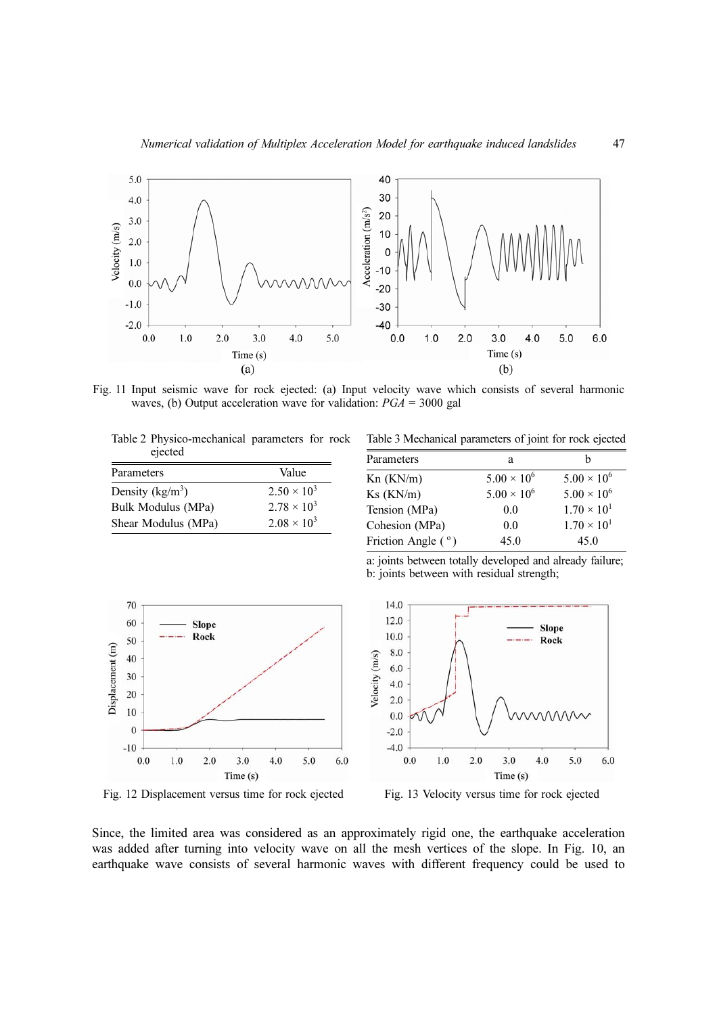

Fig. 11 Input seismic wave for rock ejected: (a) Input velocity wave which consists of several harmonic waves, (b) Output acceleration wave for validation:  $PGA = 3000$  gal

Table 2 Physico-mechanical parameters for rock ejected

| Parameters          | Value              |
|---------------------|--------------------|
| Density ( $kg/m3$ ) | $2.50 \times 10^3$ |
| Bulk Modulus (MPa)  | $2.78 \times 10^3$ |
| Shear Modulus (MPa) | $2.08 \times 10^3$ |

Table 3 Mechanical parameters of joint for rock ejected

| Parameters         | а                    |                      |
|--------------------|----------------------|----------------------|
| Kn (KN/m)          | $5.00 \times 10^{6}$ | $5.00 \times 10^{6}$ |
| $Ks$ ( $KN/m$ )    | $5.00 \times 10^{6}$ | $5.00 \times 10^{6}$ |
| Tension (MPa)      | 0.0                  | $1.70 \times 10^{1}$ |
| Cohesion (MPa)     | 0.0                  | $1.70 \times 10^{1}$ |
| Friction Angle (°) | 45.0                 | 45.0                 |

a: joints between totally developed and already failure; b: joints between with residual strength;





Fig. 12 Displacement versus time for rock ejected Fig. 13 Velocity versus time for rock ejected

Since, the limited area was considered as an approximately rigid one, the earthquake acceleration was added after turning into velocity wave on all the mesh vertices of the slope. In Fig. 10, an earthquake wave consists of several harmonic waves with different frequency could be used to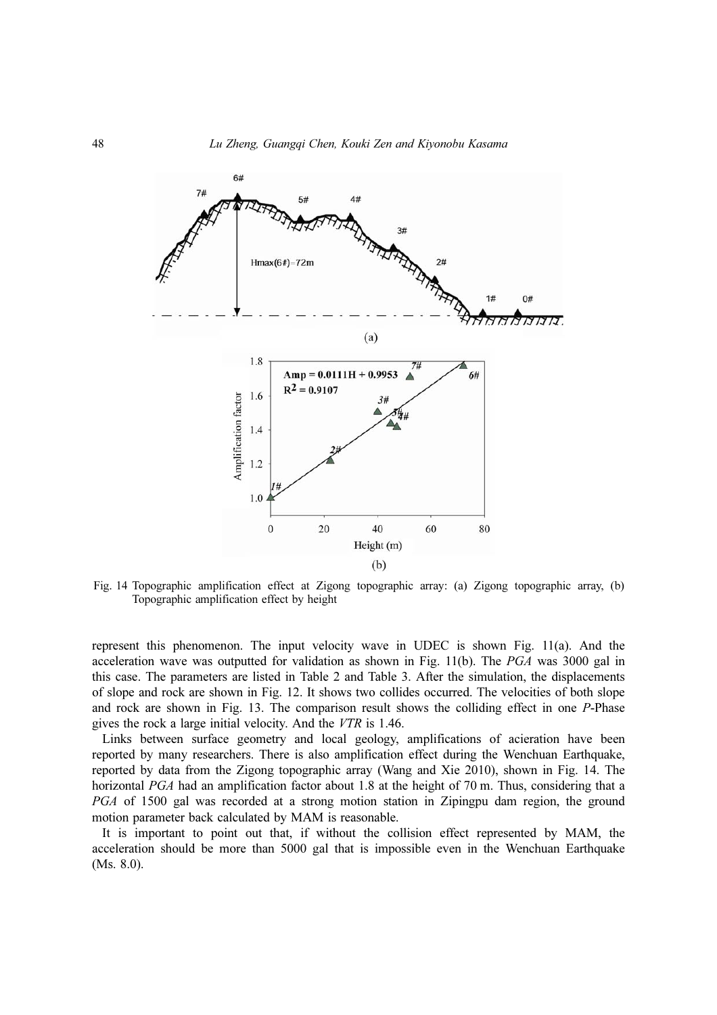

Fig. 14 Topographic amplification effect at Zigong topographic array: (a) Zigong topographic array, (b) Topographic amplification effect by height

represent this phenomenon. The input velocity wave in UDEC is shown Fig. 11(a). And the acceleration wave was outputted for validation as shown in Fig. 11(b). The PGA was 3000 gal in this case. The parameters are listed in Table 2 and Table 3. After the simulation, the displacements of slope and rock are shown in Fig. 12. It shows two collides occurred. The velocities of both slope and rock are shown in Fig. 13. The comparison result shows the colliding effect in one P-Phase gives the rock a large initial velocity. And the VTR is 1.46.

Links between surface geometry and local geology, amplifications of acieration have been reported by many researchers. There is also amplification effect during the Wenchuan Earthquake, reported by data from the Zigong topographic array (Wang and Xie 2010), shown in Fig. 14. The horizontal PGA had an amplification factor about 1.8 at the height of 70 m. Thus, considering that a PGA of 1500 gal was recorded at a strong motion station in Zipingpu dam region, the ground motion parameter back calculated by MAM is reasonable.

It is important to point out that, if without the collision effect represented by MAM, the acceleration should be more than 5000 gal that is impossible even in the Wenchuan Earthquake (Ms. 8.0).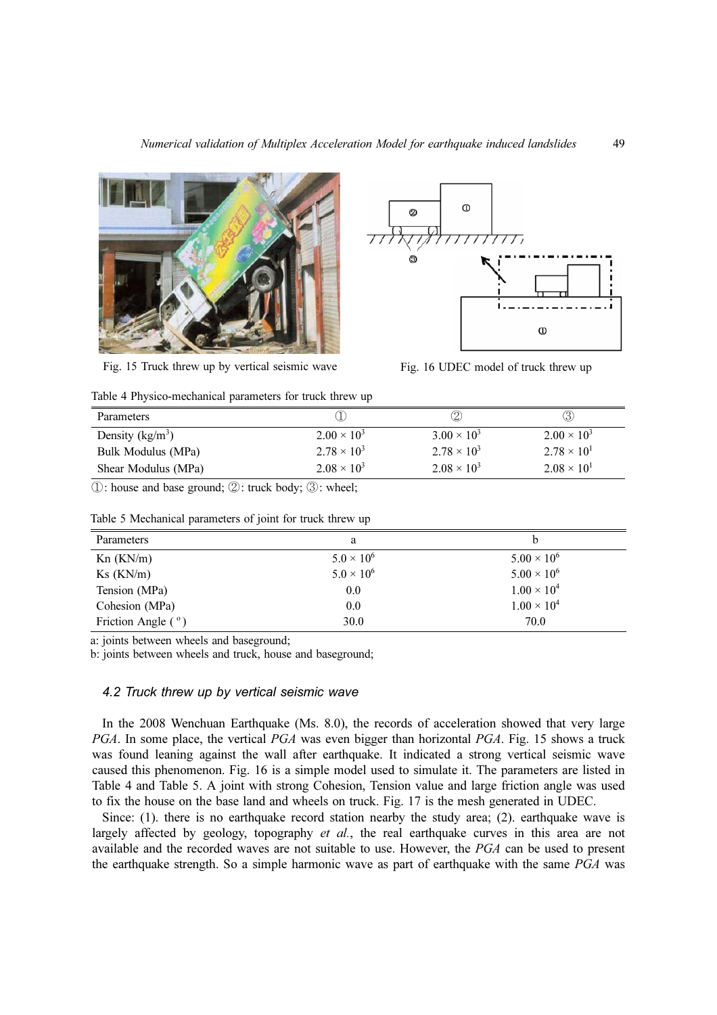

Fig. 15 Truck threw up by vertical seismic wave Fig. 16 UDEC model of truck threw up



| Parameters                  |                      | 2                    |                      |
|-----------------------------|----------------------|----------------------|----------------------|
| Density ( $\text{kg/m}^3$ ) | $2.00 \times 10^3$   | $3.00 \times 10^{3}$ | $2.00 \times 10^3$   |
| Bulk Modulus (MPa)          | $2.78 \times 10^3$   | $2.78 \times 10^3$   | $2.78 \times 10^{1}$ |
| Shear Modulus (MPa)         | $2.08 \times 10^{3}$ | $2.08 \times 10^{3}$ | $2.08 \times 10^{1}$ |

①: house and base ground; ②: truck body; ③: wheel;

| Parameters           | a                   | b                    |
|----------------------|---------------------|----------------------|
| Kn(KN/m)             | $5.0 \times 10^{6}$ | $5.00 \times 10^{6}$ |
| $Ks$ ( $KN/m$ )      | $5.0 \times 10^{6}$ | $5.00 \times 10^{6}$ |
| Tension (MPa)        | 0.0                 | $1.00 \times 10^{4}$ |
| Cohesion (MPa)       | 0.0                 | $1.00 \times 10^{4}$ |
| Friction Angle $(°)$ | 30.0                | 70.0                 |

Table 5 Mechanical parameters of joint for truck threw up

a: joints between wheels and baseground;

b: joints between wheels and truck, house and baseground;

#### 4.2 Truck threw up by vertical seismic wave

In the 2008 Wenchuan Earthquake (Ms. 8.0), the records of acceleration showed that very large PGA. In some place, the vertical PGA was even bigger than horizontal PGA. Fig. 15 shows a truck was found leaning against the wall after earthquake. It indicated a strong vertical seismic wave caused this phenomenon. Fig. 16 is a simple model used to simulate it. The parameters are listed in Table 4 and Table 5. A joint with strong Cohesion, Tension value and large friction angle was used to fix the house on the base land and wheels on truck. Fig. 17 is the mesh generated in UDEC.

Since: (1). there is no earthquake record station nearby the study area; (2). earthquake wave is largely affected by geology, topography et al., the real earthquake curves in this area are not available and the recorded waves are not suitable to use. However, the PGA can be used to present the earthquake strength. So a simple harmonic wave as part of earthquake with the same PGA was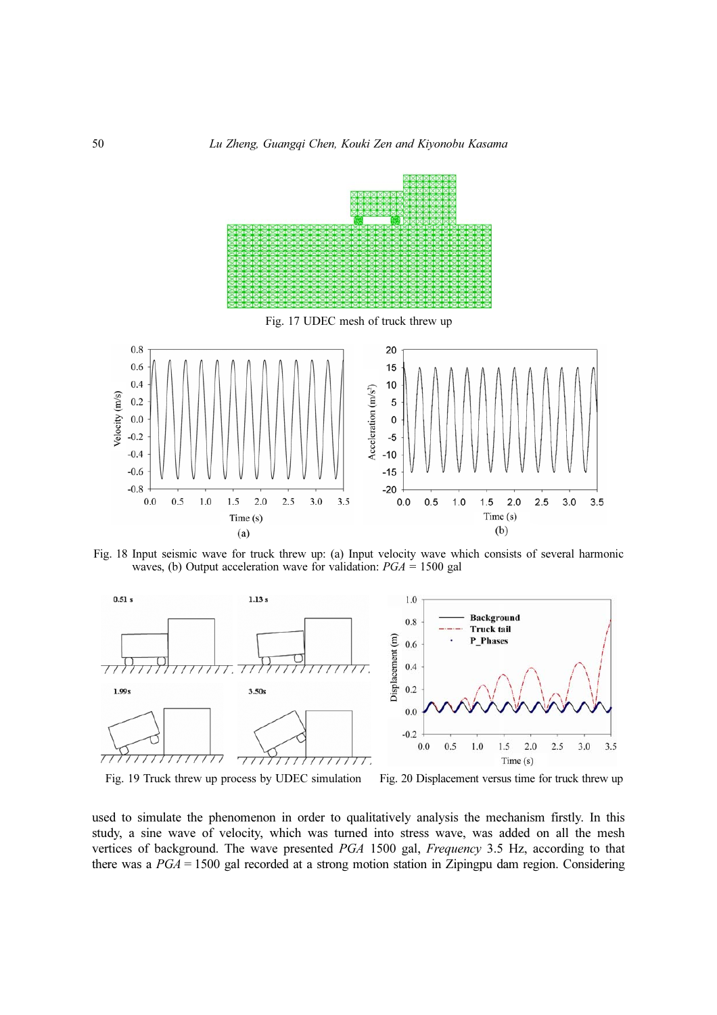

Fig. 18 Input seismic wave for truck threw up: (a) Input velocity wave which consists of several harmonic waves, (b) Output acceleration wave for validation:  $PGA = 1500$  gal



Fig. 19 Truck threw up process by UDEC simulation Fig. 20 Displacement versus time for truck threw up

used to simulate the phenomenon in order to qualitatively analysis the mechanism firstly. In this study, a sine wave of velocity, which was turned into stress wave, was added on all the mesh vertices of background. The wave presented PGA 1500 gal, Frequency 3.5 Hz, according to that there was a  $PGA = 1500$  gal recorded at a strong motion station in Zipingpu dam region. Considering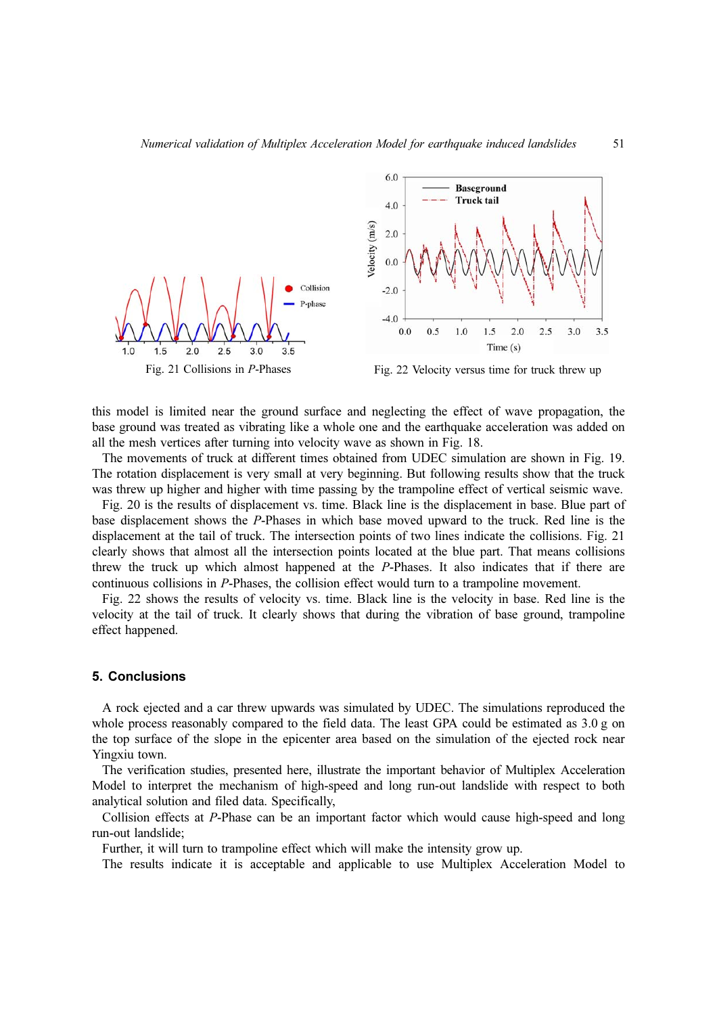



this model is limited near the ground surface and neglecting the effect of wave propagation, the base ground was treated as vibrating like a whole one and the earthquake acceleration was added on all the mesh vertices after turning into velocity wave as shown in Fig. 18.

The movements of truck at different times obtained from UDEC simulation are shown in Fig. 19. The rotation displacement is very small at very beginning. But following results show that the truck was threw up higher and higher with time passing by the trampoline effect of vertical seismic wave.

Fig. 20 is the results of displacement vs. time. Black line is the displacement in base. Blue part of base displacement shows the P-Phases in which base moved upward to the truck. Red line is the displacement at the tail of truck. The intersection points of two lines indicate the collisions. Fig. 21 clearly shows that almost all the intersection points located at the blue part. That means collisions threw the truck up which almost happened at the P-Phases. It also indicates that if there are continuous collisions in P-Phases, the collision effect would turn to a trampoline movement.

Fig. 22 shows the results of velocity vs. time. Black line is the velocity in base. Red line is the velocity at the tail of truck. It clearly shows that during the vibration of base ground, trampoline effect happened.

## 5. Conclusions

A rock ejected and a car threw upwards was simulated by UDEC. The simulations reproduced the whole process reasonably compared to the field data. The least GPA could be estimated as 3.0 g on the top surface of the slope in the epicenter area based on the simulation of the ejected rock near Yingxiu town.

The verification studies, presented here, illustrate the important behavior of Multiplex Acceleration Model to interpret the mechanism of high-speed and long run-out landslide with respect to both analytical solution and filed data. Specifically,

Collision effects at P-Phase can be an important factor which would cause high-speed and long run-out landslide;

Further, it will turn to trampoline effect which will make the intensity grow up.

The results indicate it is acceptable and applicable to use Multiplex Acceleration Model to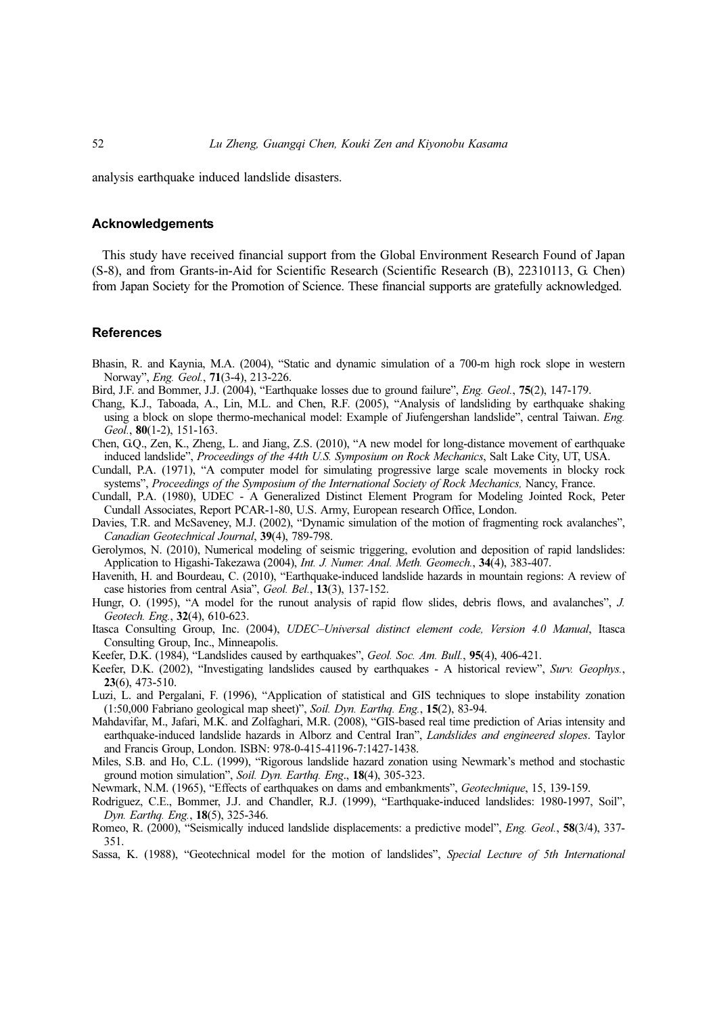analysis earthquake induced landslide disasters.

#### Acknowledgements

This study have received financial support from the Global Environment Research Found of Japan (S-8), and from Grants-in-Aid for Scientific Research (Scientific Research (B), 22310113, G. Chen) from Japan Society for the Promotion of Science. These financial supports are gratefully acknowledged.

## References

- Bhasin, R. and Kaynia, M.A. (2004), "Static and dynamic simulation of a 700-m high rock slope in western Norway", Eng. Geol., 71(3-4), 213-226.
- Bird, J.F. and Bommer, J.J. (2004), "Earthquake losses due to ground failure", *Eng. Geol.*, **75**(2), 147-179.
- Chang, K.J., Taboada, A., Lin, M.L. and Chen, R.F. (2005), "Analysis of landsliding by earthquake shaking using a block on slope thermo-mechanical model: Example of Jiufengershan landslide", central Taiwan. Eng. Geol., 80(1-2), 151-163.
- Chen, G.Q., Zen, K., Zheng, L. and Jiang, Z.S. (2010), "A new model for long-distance movement of earthquake induced landslide", Proceedings of the 44th U.S. Symposium on Rock Mechanics, Salt Lake City, UT, USA.
- Cundall, P.A. (1971), "A computer model for simulating progressive large scale movements in blocky rock systems", Proceedings of the Symposium of the International Society of Rock Mechanics, Nancy, France.
- Cundall, P.A. (1980), UDEC A Generalized Distinct Element Program for Modeling Jointed Rock, Peter Cundall Associates, Report PCAR-1-80, U.S. Army, European research Office, London.
- Davies, T.R. and McSaveney, M.J. (2002), "Dynamic simulation of the motion of fragmenting rock avalanches", Canadian Geotechnical Journal, 39(4), 789-798.
- Gerolymos, N. (2010), Numerical modeling of seismic triggering, evolution and deposition of rapid landslides: Application to Higashi-Takezawa (2004), Int. J. Numer. Anal. Meth. Geomech., 34(4), 383-407.
- Havenith, H. and Bourdeau, C. (2010), "Earthquake-induced landslide hazards in mountain regions: A review of case histories from central Asia", Geol. Bel., 13(3), 137-152.
- Hungr, O. (1995), "A model for the runout analysis of rapid flow slides, debris flows, and avalanches", J. Geotech. Eng., 32(4), 610-623.
- Itasca Consulting Group, Inc. (2004), UDEC–Universal distinct element code, Version 4.0 Manual, Itasca Consulting Group, Inc., Minneapolis.
- Keefer, D.K. (1984), "Landslides caused by earthquakes", Geol. Soc. Am. Bull., 95(4), 406-421.
- Keefer, D.K. (2002), "Investigating landslides caused by earthquakes A historical review", Surv. Geophys., 23(6), 473-510.
- Luzi, L. and Pergalani, F. (1996), "Application of statistical and GIS techniques to slope instability zonation (1:50,000 Fabriano geological map sheet)", Soil. Dyn. Earthq. Eng., 15(2), 83-94.
- Mahdavifar, M., Jafari, M.K. and Zolfaghari, M.R. (2008), "GIS-based real time prediction of Arias intensity and earthquake-induced landslide hazards in Alborz and Central Iran", Landslides and engineered slopes. Taylor and Francis Group, London. ISBN: 978-0-415-41196-7:1427-1438.
- Miles, S.B. and Ho, C.L. (1999), "Rigorous landslide hazard zonation using Newmark's method and stochastic ground motion simulation", Soil. Dyn. Earthq. Eng., 18(4), 305-323.
- Newmark, N.M. (1965), "Effects of earthquakes on dams and embankments", Geotechnique, 15, 139-159.
- Rodriguez, C.E., Bommer, J.J. and Chandler, R.J. (1999), "Earthquake-induced landslides: 1980-1997, Soil", Dyn. Earthq. Eng., 18(5), 325-346.
- Romeo, R. (2000), "Seismically induced landslide displacements: a predictive model", Eng. Geol., 58(3/4), 337- 351.
- Sassa, K. (1988), "Geotechnical model for the motion of landslides", Special Lecture of 5th International